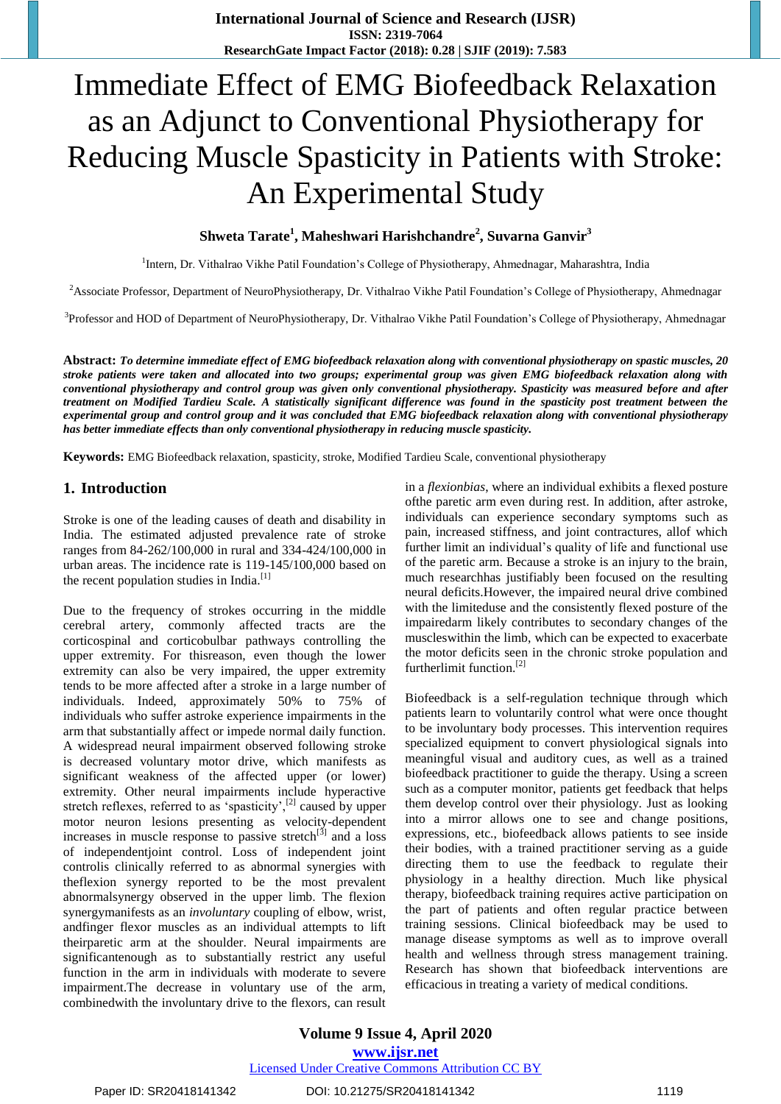# Immediate Effect of EMG Biofeedback Relaxation as an Adjunct to Conventional Physiotherapy for Reducing Muscle Spasticity in Patients with Stroke: An Experimental Study

# **Shweta Tarate<sup>1</sup> , Maheshwari Harishchandre<sup>2</sup> , Suvarna Ganvir<sup>3</sup>**

<sup>1</sup>Intern, Dr. Vithalrao Vikhe Patil Foundation's College of Physiotherapy, Ahmednagar, Maharashtra, India

<sup>2</sup>Associate Professor, Department of NeuroPhysiotherapy, Dr. Vithalrao Vikhe Patil Foundation's College of Physiotherapy, Ahmednagar

<sup>3</sup>Professor and HOD of Department of NeuroPhysiotherapy, Dr. Vithalrao Vikhe Patil Foundation's College of Physiotherapy, Ahmednagar

**Abstract:** *To determine immediate effect of EMG biofeedback relaxation along with conventional physiotherapy on spastic muscles, 20 stroke patients were taken and allocated into two groups; experimental group was given EMG biofeedback relaxation along with conventional physiotherapy and control group was given only conventional physiotherapy. Spasticity was measured before and after treatment on Modified Tardieu Scale. A statistically significant difference was found in the spasticity post treatment between the experimental group and control group and it was concluded that EMG biofeedback relaxation along with conventional physiotherapy has better immediate effects than only conventional physiotherapy in reducing muscle spasticity.*

**Keywords:** EMG Biofeedback relaxation, spasticity, stroke, Modified Tardieu Scale, conventional physiotherapy

#### **1. Introduction**

Stroke is one of the leading causes of death and disability in India. The estimated adjusted prevalence rate of stroke ranges from 84-262/100,000 in rural and 334-424/100,000 in urban areas. The incidence rate is 119-145/100,000 based on the recent population studies in India.<sup>[1]</sup>

Due to the frequency of strokes occurring in the middle cerebral artery, commonly affected tracts are the corticospinal and corticobulbar pathways controlling the upper extremity. For thisreason, even though the lower extremity can also be very impaired, the upper extremity tends to be more affected after a stroke in a large number of individuals. Indeed, approximately 50% to 75% of individuals who suffer astroke experience impairments in the arm that substantially affect or impede normal daily function. A widespread neural impairment observed following stroke is decreased voluntary motor drive, which manifests as significant weakness of the affected upper (or lower) extremity. Other neural impairments include hyperactive stretch reflexes, referred to as 'spasticity', $^{[2]}$  caused by upper motor neuron lesions presenting as velocity-dependent increases in muscle response to passive stretch $^{[3]}$  and a loss of independentjoint control. Loss of independent joint controlis clinically referred to as abnormal synergies with theflexion synergy reported to be the most prevalent abnormalsynergy observed in the upper limb. The flexion synergymanifests as an *involuntary* coupling of elbow, wrist, andfinger flexor muscles as an individual attempts to lift theirparetic arm at the shoulder. Neural impairments are significantenough as to substantially restrict any useful function in the arm in individuals with moderate to severe impairment.The decrease in voluntary use of the arm, combinedwith the involuntary drive to the flexors, can result

in a *flexionbias*, where an individual exhibits a flexed posture ofthe paretic arm even during rest. In addition, after astroke, individuals can experience secondary symptoms such as pain, increased stiffness, and joint contractures, allof which further limit an individual's quality of life and functional use of the paretic arm. Because a stroke is an injury to the brain, much researchhas justifiably been focused on the resulting neural deficits.However, the impaired neural drive combined with the limiteduse and the consistently flexed posture of the impairedarm likely contributes to secondary changes of the muscleswithin the limb, which can be expected to exacerbate the motor deficits seen in the chronic stroke population and furtherlimit function.<sup>[2]</sup>

Biofeedback is a self-regulation technique through which patients learn to voluntarily control what were once thought to be involuntary body processes. This intervention requires specialized equipment to convert physiological signals into meaningful visual and auditory cues, as well as a trained biofeedback practitioner to guide the therapy. Using a screen such as a computer monitor, patients get feedback that helps them develop control over their physiology. Just as looking into a mirror allows one to see and change positions, expressions, etc., biofeedback allows patients to see inside their bodies, with a trained practitioner serving as a guide directing them to use the feedback to regulate their physiology in a healthy direction. Much like physical therapy, biofeedback training requires active participation on the part of patients and often regular practice between training sessions. Clinical biofeedback may be used to manage disease symptoms as well as to improve overall health and wellness through stress management training. Research has shown that biofeedback interventions are efficacious in treating a variety of medical conditions.

**Volume 9 Issue 4, April 2020 www.ijsr.net** Licensed Under Creative Commons Attribution CC BY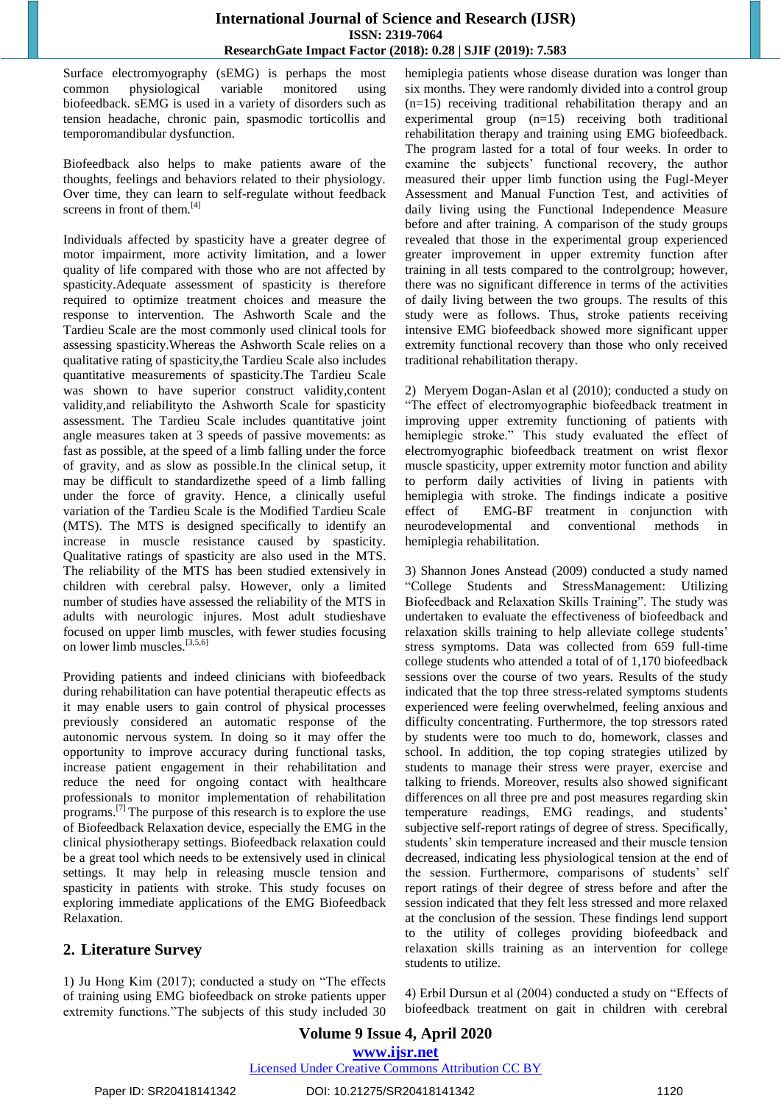Surface electromyography (sEMG) is perhaps the most common physiological variable monitored using biofeedback. sEMG is used in a variety of disorders such as tension headache, chronic pain, spasmodic torticollis and temporomandibular dysfunction.

Biofeedback also helps to make patients aware of the thoughts, feelings and behaviors related to their physiology. Over time, they can learn to self-regulate without feedback screens in front of them.<sup>[4]</sup>

Individuals affected by spasticity have a greater degree of motor impairment, more activity limitation, and a lower quality of life compared with those who are not affected by spasticity.Adequate assessment of spasticity is therefore required to optimize treatment choices and measure the response to intervention. The Ashworth Scale and the Tardieu Scale are the most commonly used clinical tools for assessing spasticity.Whereas the Ashworth Scale relies on a qualitative rating of spasticity,the Tardieu Scale also includes quantitative measurements of spasticity.The Tardieu Scale was shown to have superior construct validity,content validity,and reliabilityto the Ashworth Scale for spasticity assessment. The Tardieu Scale includes quantitative joint angle measures taken at 3 speeds of passive movements: as fast as possible, at the speed of a limb falling under the force of gravity, and as slow as possible.In the clinical setup, it may be difficult to standardizethe speed of a limb falling under the force of gravity. Hence, a clinically useful variation of the Tardieu Scale is the Modified Tardieu Scale (MTS). The MTS is designed specifically to identify an increase in muscle resistance caused by spasticity. Qualitative ratings of spasticity are also used in the MTS. The reliability of the MTS has been studied extensively in children with cerebral palsy. However, only a limited number of studies have assessed the reliability of the MTS in adults with neurologic injures. Most adult studieshave focused on upper limb muscles, with fewer studies focusing on lower limb muscles.[3,5,6]

Providing patients and indeed clinicians with biofeedback during rehabilitation can have potential therapeutic effects as it may enable users to gain control of physical processes previously considered an automatic response of the autonomic nervous system. In doing so it may offer the opportunity to improve accuracy during functional tasks, increase patient engagement in their rehabilitation and reduce the need for ongoing contact with healthcare professionals to monitor implementation of rehabilitation programs.[7] The purpose of this research is to explore the use of Biofeedback Relaxation device, especially the EMG in the clinical physiotherapy settings. Biofeedback relaxation could be a great tool which needs to be extensively used in clinical settings. It may help in releasing muscle tension and spasticity in patients with stroke. This study focuses on exploring immediate applications of the EMG Biofeedback Relaxation.

# **2. Literature Survey**

1) Ju Hong Kim (2017); conducted a study on "The effects of training using EMG biofeedback on stroke patients upper extremity functions."The subjects of this study included 30 hemiplegia patients whose disease duration was longer than six months. They were randomly divided into a control group (n=15) receiving traditional rehabilitation therapy and an experimental group (n=15) receiving both traditional rehabilitation therapy and training using EMG biofeedback. The program lasted for a total of four weeks. In order to examine the subjects' functional recovery, the author measured their upper limb function using the Fugl-Meyer Assessment and Manual Function Test, and activities of daily living using the Functional Independence Measure before and after training. A comparison of the study groups revealed that those in the experimental group experienced greater improvement in upper extremity function after training in all tests compared to the controlgroup; however, there was no significant difference in terms of the activities of daily living between the two groups. The results of this study were as follows. Thus, stroke patients receiving intensive EMG biofeedback showed more significant upper extremity functional recovery than those who only received traditional rehabilitation therapy.

2) Meryem Dogan-Aslan et al (2010); conducted a study on "The effect of electromyographic biofeedback treatment in improving upper extremity functioning of patients with hemiplegic stroke." This study evaluated the effect of electromyographic biofeedback treatment on wrist flexor muscle spasticity, upper extremity motor function and ability to perform daily activities of living in patients with hemiplegia with stroke. The findings indicate a positive effect of EMG-BF treatment in conjunction with neurodevelopmental and conventional methods in hemiplegia rehabilitation.

3) Shannon Jones Anstead (2009) conducted a study named "College Students and StressManagement: Utilizing Biofeedback and Relaxation Skills Training". The study was undertaken to evaluate the effectiveness of biofeedback and relaxation skills training to help alleviate college students' stress symptoms. Data was collected from 659 full-time college students who attended a total of of 1,170 biofeedback sessions over the course of two years. Results of the study indicated that the top three stress-related symptoms students experienced were feeling overwhelmed, feeling anxious and difficulty concentrating. Furthermore, the top stressors rated by students were too much to do, homework, classes and school. In addition, the top coping strategies utilized by students to manage their stress were prayer, exercise and talking to friends. Moreover, results also showed significant differences on all three pre and post measures regarding skin temperature readings, EMG readings, and students" subjective self-report ratings of degree of stress. Specifically, students' skin temperature increased and their muscle tension decreased, indicating less physiological tension at the end of the session. Furthermore, comparisons of students' self report ratings of their degree of stress before and after the session indicated that they felt less stressed and more relaxed at the conclusion of the session. These findings lend support to the utility of colleges providing biofeedback and relaxation skills training as an intervention for college students to utilize.

4) Erbil Dursun et al (2004) conducted a study on "Effects of biofeedback treatment on gait in children with cerebral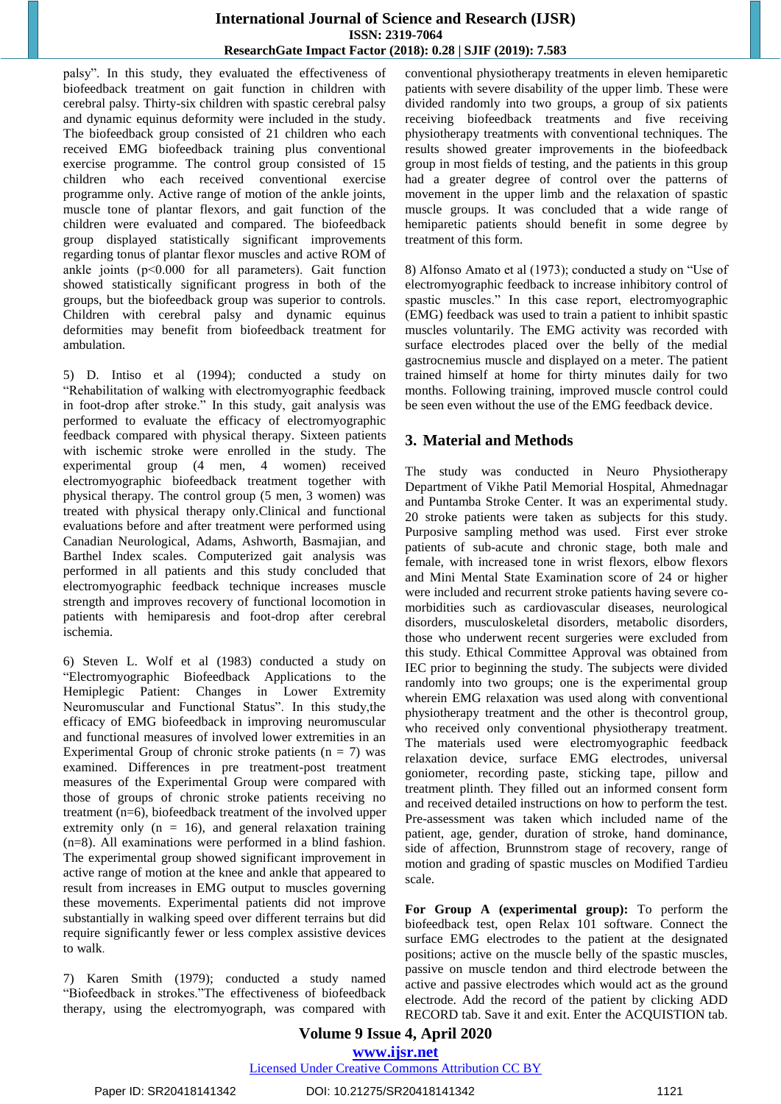palsy". In this study, they evaluated the effectiveness of biofeedback treatment on gait function in children with cerebral palsy. Thirty-six children with spastic cerebral palsy and dynamic equinus deformity were included in the study. The biofeedback group consisted of 21 children who each received EMG biofeedback training plus conventional exercise programme. The control group consisted of 15 children who each received conventional exercise programme only. Active range of motion of the ankle joints, muscle tone of plantar flexors, and gait function of the children were evaluated and compared. The biofeedback group displayed statistically significant improvements regarding tonus of plantar flexor muscles and active ROM of ankle joints (p˂0.000 for all parameters). Gait function showed statistically significant progress in both of the groups, but the biofeedback group was superior to controls. Children with cerebral palsy and dynamic equinus deformities may benefit from biofeedback treatment for ambulation.

5) D. Intiso et al (1994); conducted a study on "Rehabilitation of walking with electromyographic feedback in foot-drop after stroke." In this study, gait analysis was performed to evaluate the efficacy of electromyographic feedback compared with physical therapy. Sixteen patients with ischemic stroke were enrolled in the study. The experimental group (4 men, 4 women) received electromyographic biofeedback treatment together with physical therapy. The control group (5 men, 3 women) was treated with physical therapy only.Clinical and functional evaluations before and after treatment were performed using Canadian Neurological, Adams, Ashworth, Basmajian, and Barthel Index scales. Computerized gait analysis was performed in all patients and this study concluded that electromyographic feedback technique increases muscle strength and improves recovery of functional locomotion in patients with hemiparesis and foot-drop after cerebral ischemia.

6) Steven L. Wolf et al (1983) conducted a study on "Electromyographic Biofeedback Applications to the Hemiplegic Patient: Changes in Lower Extremity Neuromuscular and Functional Status". In this study,the efficacy of EMG biofeedback in improving neuromuscular and functional measures of involved lower extremities in an Experimental Group of chronic stroke patients  $(n = 7)$  was examined. Differences in pre treatment-post treatment measures of the Experimental Group were compared with those of groups of chronic stroke patients receiving no treatment (n=6), biofeedback treatment of the involved upper extremity only  $(n = 16)$ , and general relaxation training (n=8). All examinations were performed in a blind fashion. The experimental group showed significant improvement in active range of motion at the knee and ankle that appeared to result from increases in EMG output to muscles governing these movements. Experimental patients did not improve substantially in walking speed over different terrains but did require significantly fewer or less complex assistive devices to walk.

7) Karen Smith (1979); conducted a study named "Biofeedback in strokes."The effectiveness of biofeedback therapy, using the electromyograph, was compared with conventional physiotherapy treatments in eleven hemiparetic patients with severe disability of the upper limb. These were divided randomly into two groups, a group of six patients receiving biofeedback treatments and five receiving physiotherapy treatments with conventional techniques. The results showed greater improvements in the biofeedback group in most fields of testing, and the patients in this group had a greater degree of control over the patterns of movement in the upper limb and the relaxation of spastic muscle groups. It was concluded that a wide range of hemiparetic patients should benefit in some degree by treatment of this form.

8) Alfonso Amato et al (1973); conducted a study on "Use of electromyographic feedback to increase inhibitory control of spastic muscles." In this case report, electromyographic (EMG) feedback was used to train a patient to inhibit spastic muscles voluntarily. The EMG activity was recorded with surface electrodes placed over the belly of the medial gastrocnemius muscle and displayed on a meter. The patient trained himself at home for thirty minutes daily for two months. Following training, improved muscle control could be seen even without the use of the EMG feedback device.

# **3. Material and Methods**

The study was conducted in Neuro Physiotherapy Department of Vikhe Patil Memorial Hospital, Ahmednagar and Puntamba Stroke Center. It was an experimental study. 20 stroke patients were taken as subjects for this study. Purposive sampling method was used. First ever stroke patients of sub-acute and chronic stage, both male and female, with increased tone in wrist flexors, elbow flexors and Mini Mental State Examination score of 24 or higher were included and recurrent stroke patients having severe comorbidities such as cardiovascular diseases, neurological disorders, musculoskeletal disorders, metabolic disorders, those who underwent recent surgeries were excluded from this study. Ethical Committee Approval was obtained from IEC prior to beginning the study. The subjects were divided randomly into two groups; one is the experimental group wherein EMG relaxation was used along with conventional physiotherapy treatment and the other is thecontrol group, who received only conventional physiotherapy treatment. The materials used were electromyographic feedback relaxation device, surface EMG electrodes, universal goniometer, recording paste, sticking tape, pillow and treatment plinth. They filled out an informed consent form and received detailed instructions on how to perform the test. Pre-assessment was taken which included name of the patient, age, gender, duration of stroke, hand dominance, side of affection, Brunnstrom stage of recovery, range of motion and grading of spastic muscles on Modified Tardieu scale.

**For Group A (experimental group):** To perform the biofeedback test, open Relax 101 software. Connect the surface EMG electrodes to the patient at the designated positions; active on the muscle belly of the spastic muscles, passive on muscle tendon and third electrode between the active and passive electrodes which would act as the ground electrode. Add the record of the patient by clicking ADD RECORD tab. Save it and exit. Enter the ACQUISTION tab.

**Volume 9 Issue 4, April 2020 www.ijsr.net** Licensed Under Creative Commons Attribution CC BY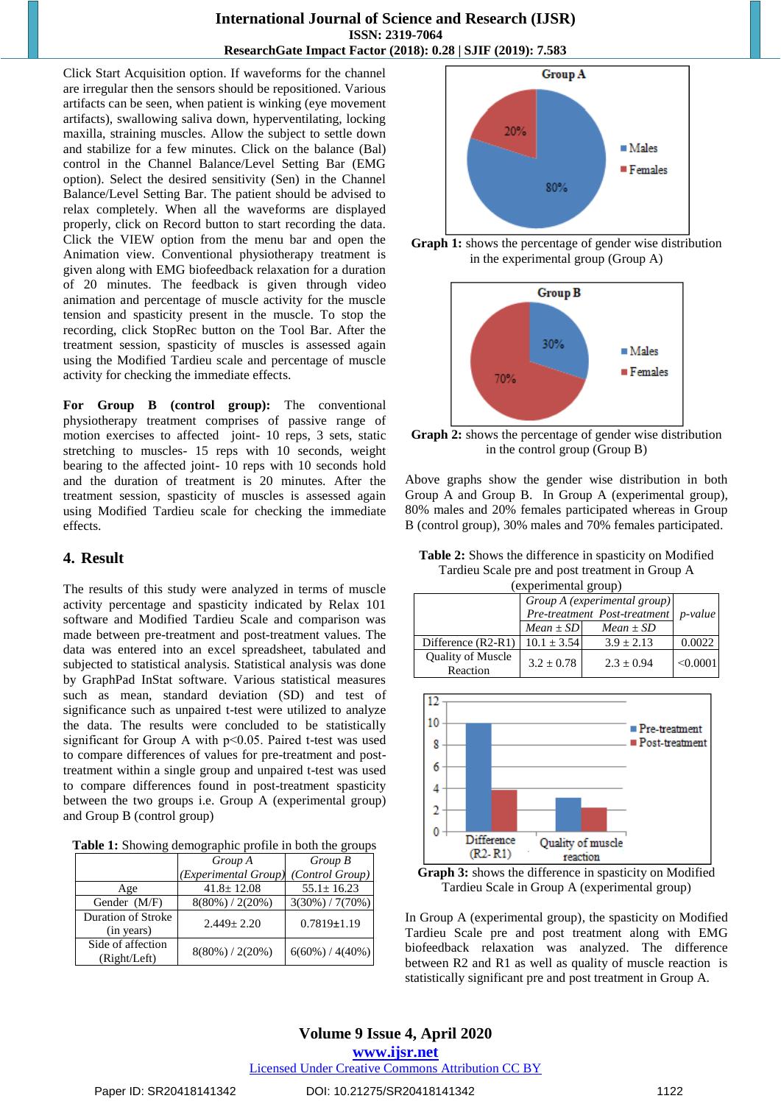Click Start Acquisition option. If waveforms for the channel are irregular then the sensors should be repositioned. Various artifacts can be seen, when patient is winking (eye movement artifacts), swallowing saliva down, hyperventilating, locking maxilla, straining muscles. Allow the subject to settle down and stabilize for a few minutes. Click on the balance (Bal) control in the Channel Balance/Level Setting Bar (EMG option). Select the desired sensitivity (Sen) in the Channel Balance/Level Setting Bar. The patient should be advised to relax completely. When all the waveforms are displayed properly, click on Record button to start recording the data. Click the VIEW option from the menu bar and open the Animation view. Conventional physiotherapy treatment is given along with EMG biofeedback relaxation for a duration of 20 minutes. The feedback is given through video animation and percentage of muscle activity for the muscle tension and spasticity present in the muscle. To stop the recording, click StopRec button on the Tool Bar. After the treatment session, spasticity of muscles is assessed again using the Modified Tardieu scale and percentage of muscle activity for checking the immediate effects.

**For Group B (control group):** The conventional physiotherapy treatment comprises of passive range of motion exercises to affected joint- 10 reps, 3 sets, static stretching to muscles- 15 reps with 10 seconds, weight bearing to the affected joint- 10 reps with 10 seconds hold and the duration of treatment is 20 minutes. After the treatment session, spasticity of muscles is assessed again using Modified Tardieu scale for checking the immediate effects.

#### **4. Result**

The results of this study were analyzed in terms of muscle activity percentage and spasticity indicated by Relax 101 software and Modified Tardieu Scale and comparison was made between pre-treatment and post-treatment values. The data was entered into an excel spreadsheet, tabulated and subjected to statistical analysis. Statistical analysis was done by GraphPad InStat software. Various statistical measures such as mean, standard deviation (SD) and test of significance such as unpaired t-test were utilized to analyze the data. The results were concluded to be statistically significant for Group A with p˂0.05. Paired t-test was used to compare differences of values for pre-treatment and posttreatment within a single group and unpaired t-test was used to compare differences found in post-treatment spasticity between the two groups i.e. Group A (experimental group) and Group B (control group)

**Table 1:** Showing demographic profile in both the groups

|                                   | Group A              | Group B             |  |
|-----------------------------------|----------------------|---------------------|--|
|                                   | (Experimental Group) | (Control Group)     |  |
| Age                               | $41.8 \pm 12.08$     | $55.1 \pm 16.23$    |  |
| Gender (M/F)                      | $8(80\%) / 2(20\%)$  | $3(30\%) / 7(70\%)$ |  |
| Duration of Stroke<br>(in years)  | $2.449 + 2.20$       | $0.7819 \pm 1.19$   |  |
| Side of affection<br>(Right/Left) | $8(80\%) / 2(20\%)$  | $6(60\%) / 4(40\%)$ |  |







**Graph 2:** shows the percentage of gender wise distribution in the control group (Group B)

Above graphs show the gender wise distribution in both Group A and Group B. In Group A (experimental group), 80% males and 20% females participated whereas in Group B (control group), 30% males and 70% females participated.

**Table 2:** Shows the difference in spasticity on Modified Tardieu Scale pre and post treatment in Group A  $_{\text{ent}}$ 

| (experimental group)                 |                              |                 |               |  |  |
|--------------------------------------|------------------------------|-----------------|---------------|--|--|
|                                      | Group A (experimental group) | <i>p</i> -value |               |  |  |
|                                      | Pre-treatment Post-treatment |                 |               |  |  |
|                                      | $Mean \pm SD$                | $Mean \pm SD$   |               |  |  |
| Difference (R2-R1)                   | $10.1 \pm 3.54$              | $3.9 + 2.13$    | 0.0022        |  |  |
| <b>Quality of Muscle</b><br>Reaction | $3.2 + 0.78$                 | $2.3 + 0.94$    | $\leq 0.0001$ |  |  |



**Graph 3:** shows the difference in spasticity on Modified Tardieu Scale in Group A (experimental group)

In Group A (experimental group), the spasticity on Modified Tardieu Scale pre and post treatment along with EMG biofeedback relaxation was analyzed. The difference between R2 and R1 as well as quality of muscle reaction is statistically significant pre and post treatment in Group A.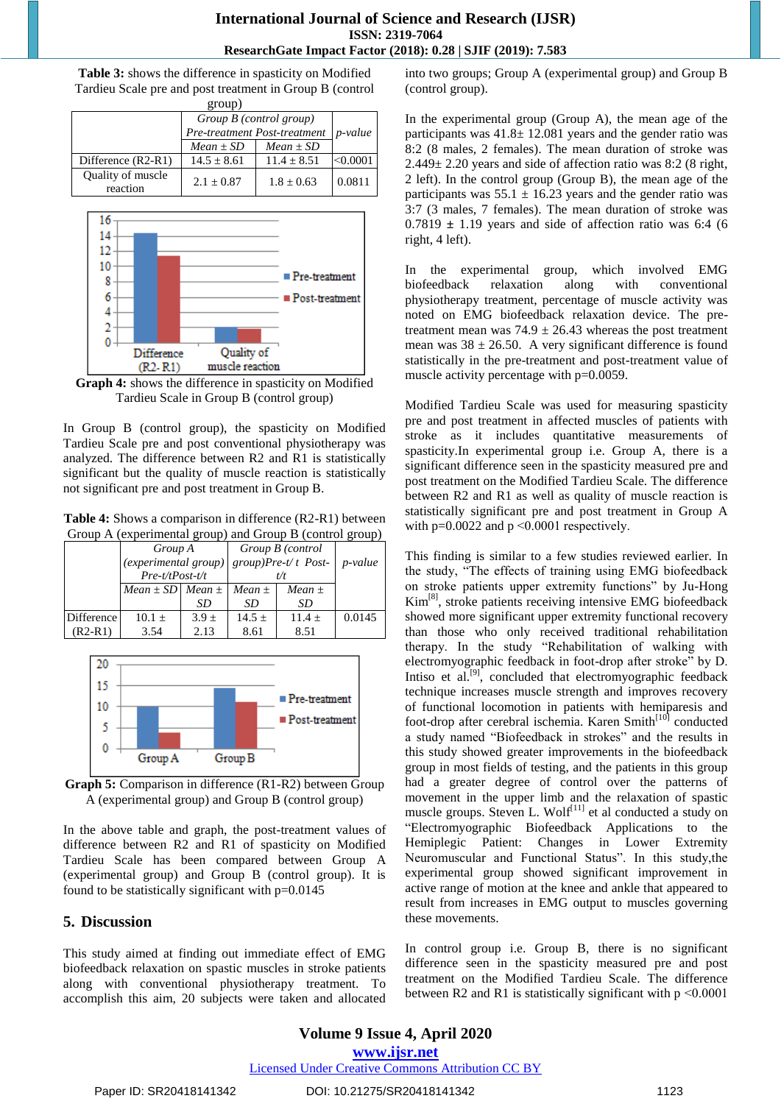**Table 3:** shows the difference in spasticity on Modified Tardieu Scale pre and post treatment in Group B (control  $groun)$ 

| $\epsilon$ $\upsilon$ $\upsilon$ |                                                         |               |                 |  |  |
|----------------------------------|---------------------------------------------------------|---------------|-----------------|--|--|
|                                  | Group B (control group)<br>Pre-treatment Post-treatment |               | <i>p</i> -value |  |  |
|                                  | $Mean \pm SD$                                           | $Mean \pm SD$ |                 |  |  |
| Difference (R2-R1)               | $14.5 \pm 8.61$                                         | $11.4 + 8.51$ | < 0.0001        |  |  |
| Quality of muscle<br>reaction    | $2.1 + 0.87$                                            | $1.8 + 0.63$  | 0.0811          |  |  |



**Graph 4:** shows the difference in spasticity on Modified Tardieu Scale in Group B (control group)

In Group B (control group), the spasticity on Modified Tardieu Scale pre and post conventional physiotherapy was analyzed. The difference between R2 and R1 is statistically significant but the quality of muscle reaction is statistically not significant pre and post treatment in Group B.

**Table 4:** Shows a comparison in difference (R2-R1) between Group A (experimental group) and Group B (control group)

|            | Group A                                   |           |                               | Group B (control |                 |
|------------|-------------------------------------------|-----------|-------------------------------|------------------|-----------------|
|            | (experimental group)<br>$Pre-t/tPost-t/t$ |           | $group$ )Pre-t/t Post-<br>t/t |                  | <i>p</i> -value |
|            | Mean $\pm$ SD Mean $\pm$                  |           | Mean $\pm$                    | Mean $\pm$       |                 |
|            |                                           | SD        | SD                            | SD               |                 |
| Difference | $10.1 \pm$                                | $3.9 \pm$ | $14.5 \pm$                    | $11.4 +$         | 0.0145          |
| $(R2-R1)$  | 3.54                                      | 2.13      | 8.61                          | 8.51             |                 |



**Graph 5:** Comparison in difference (R1-R2) between Group A (experimental group) and Group B (control group)

In the above table and graph, the post-treatment values of difference between R2 and R1 of spasticity on Modified Tardieu Scale has been compared between Group A (experimental group) and Group B (control group). It is found to be statistically significant with  $p=0.0145$ 

# **5. Discussion**

This study aimed at finding out immediate effect of EMG biofeedback relaxation on spastic muscles in stroke patients along with conventional physiotherapy treatment. To accomplish this aim, 20 subjects were taken and allocated

into two groups; Group A (experimental group) and Group B (control group).

In the experimental group (Group A), the mean age of the participants was 41.8± 12.081 years and the gender ratio was 8:2 (8 males, 2 females). The mean duration of stroke was  $2.449 \pm 2.20$  years and side of affection ratio was 8:2 (8 right, 2 left). In the control group (Group B), the mean age of the participants was  $55.1 \pm 16.23$  years and the gender ratio was 3:7 (3 males, 7 females). The mean duration of stroke was  $0.7819 \pm 1.19$  years and side of affection ratio was 6:4 (6) right, 4 left).

In the experimental group, which involved EMG biofeedback relaxation along with conventional physiotherapy treatment, percentage of muscle activity was noted on EMG biofeedback relaxation device. The pretreatment mean was  $74.9 \pm 26.43$  whereas the post treatment mean was  $38 \pm 26.50$ . A very significant difference is found statistically in the pre-treatment and post-treatment value of muscle activity percentage with p=0.0059.

Modified Tardieu Scale was used for measuring spasticity pre and post treatment in affected muscles of patients with stroke as it includes quantitative measurements of spasticity.In experimental group i.e. Group A, there is a significant difference seen in the spasticity measured pre and post treatment on the Modified Tardieu Scale. The difference between R2 and R1 as well as quality of muscle reaction is statistically significant pre and post treatment in Group A with  $p=0.0022$  and  $p \le 0.0001$  respectively.

This finding is similar to a few studies reviewed earlier. In the study, "The effects of training using EMG biofeedback on stroke patients upper extremity functions" by Ju-Hong Kim[8], stroke patients receiving intensive EMG biofeedback showed more significant upper extremity functional recovery than those who only received traditional rehabilitation therapy. In the study "Rehabilitation of walking with electromyographic feedback in foot-drop after stroke" by D. Intiso et al.<sup>[9]</sup>, concluded that electromyographic feedback technique increases muscle strength and improves recovery of functional locomotion in patients with hemiparesis and foot-drop after cerebral ischemia. Karen Smith<sup>[10]</sup> conducted a study named "Biofeedback in strokes" and the results in this study showed greater improvements in the biofeedback group in most fields of testing, and the patients in this group had a greater degree of control over the patterns of movement in the upper limb and the relaxation of spastic muscle groups. Steven L. Wolf<sup>[11]</sup> et al conducted a study on "Electromyographic Biofeedback Applications to the Hemiplegic Patient: Changes in Lower Extremity Neuromuscular and Functional Status". In this study,the experimental group showed significant improvement in active range of motion at the knee and ankle that appeared to result from increases in EMG output to muscles governing these movements.

In control group i.e. Group B, there is no significant difference seen in the spasticity measured pre and post treatment on the Modified Tardieu Scale. The difference between R2 and R1 is statistically significant with  $p \le 0.0001$